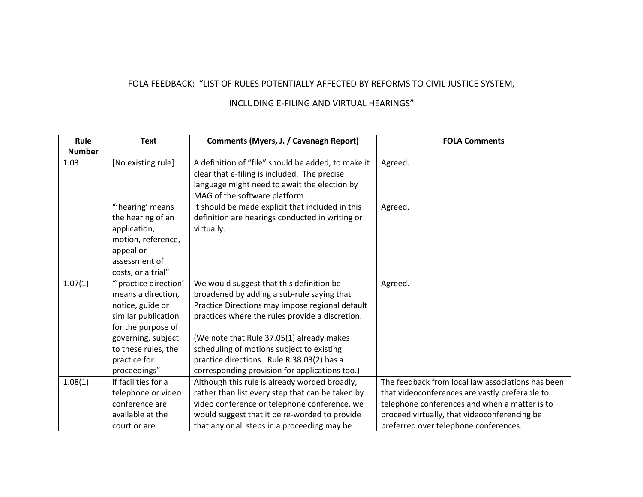## FOLA FEEDBACK: "LIST OF RULES POTENTIALLY AFFECTED BY REFORMS TO CIVIL JUSTICE SYSTEM,

## INCLUDING E-FILING AND VIRTUAL HEARINGS"

| Rule          | <b>Text</b>          | <b>Comments (Myers, J. / Cavanagh Report)</b>      | <b>FOLA Comments</b>                              |
|---------------|----------------------|----------------------------------------------------|---------------------------------------------------|
| <b>Number</b> |                      |                                                    |                                                   |
| 1.03          | [No existing rule]   | A definition of "file" should be added, to make it | Agreed.                                           |
|               |                      | clear that e-filing is included. The precise       |                                                   |
|               |                      | language might need to await the election by       |                                                   |
|               |                      | MAG of the software platform.                      |                                                   |
|               | "hearing' means      | It should be made explicit that included in this   | Agreed.                                           |
|               | the hearing of an    | definition are hearings conducted in writing or    |                                                   |
|               | application,         | virtually.                                         |                                                   |
|               | motion, reference,   |                                                    |                                                   |
|               | appeal or            |                                                    |                                                   |
|               | assessment of        |                                                    |                                                   |
|               | costs, or a trial"   |                                                    |                                                   |
| 1.07(1)       | "practice direction' | We would suggest that this definition be           | Agreed.                                           |
|               | means a direction,   | broadened by adding a sub-rule saying that         |                                                   |
|               | notice, guide or     | Practice Directions may impose regional default    |                                                   |
|               | similar publication  | practices where the rules provide a discretion.    |                                                   |
|               | for the purpose of   |                                                    |                                                   |
|               | governing, subject   | (We note that Rule 37.05(1) already makes          |                                                   |
|               | to these rules, the  | scheduling of motions subject to existing          |                                                   |
|               | practice for         | practice directions. Rule R.38.03(2) has a         |                                                   |
|               | proceedings"         | corresponding provision for applications too.)     |                                                   |
| 1.08(1)       | If facilities for a  | Although this rule is already worded broadly,      | The feedback from local law associations has been |
|               | telephone or video   | rather than list every step that can be taken by   | that videoconferences are vastly preferable to    |
|               | conference are       | video conference or telephone conference, we       | telephone conferences and when a matter is to     |
|               | available at the     | would suggest that it be re-worded to provide      | proceed virtually, that videoconferencing be      |
|               | court or are         | that any or all steps in a proceeding may be       | preferred over telephone conferences.             |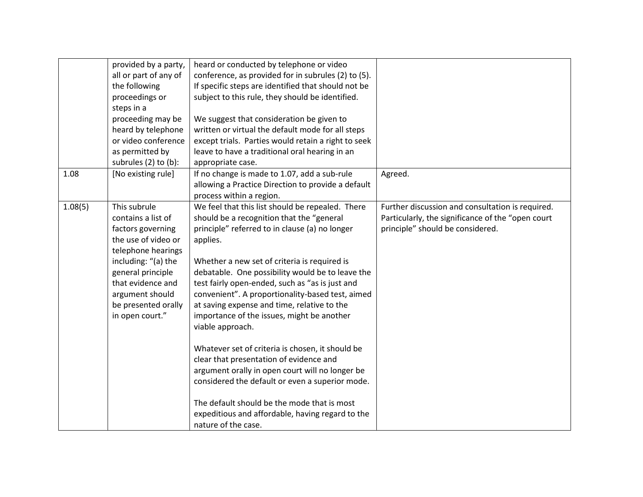|         | provided by a party,  | heard or conducted by telephone or video            |                                                   |
|---------|-----------------------|-----------------------------------------------------|---------------------------------------------------|
|         | all or part of any of | conference, as provided for in subrules (2) to (5). |                                                   |
|         | the following         | If specific steps are identified that should not be |                                                   |
|         | proceedings or        | subject to this rule, they should be identified.    |                                                   |
|         | steps in a            |                                                     |                                                   |
|         | proceeding may be     | We suggest that consideration be given to           |                                                   |
|         | heard by telephone    | written or virtual the default mode for all steps   |                                                   |
|         | or video conference   | except trials. Parties would retain a right to seek |                                                   |
|         | as permitted by       | leave to have a traditional oral hearing in an      |                                                   |
|         | subrules (2) to (b):  | appropriate case.                                   |                                                   |
| 1.08    | [No existing rule]    | If no change is made to 1.07, add a sub-rule        | Agreed.                                           |
|         |                       | allowing a Practice Direction to provide a default  |                                                   |
|         |                       | process within a region.                            |                                                   |
| 1.08(5) | This subrule          | We feel that this list should be repealed. There    | Further discussion and consultation is required.  |
|         | contains a list of    | should be a recognition that the "general           | Particularly, the significance of the "open court |
|         | factors governing     | principle" referred to in clause (a) no longer      | principle" should be considered.                  |
|         | the use of video or   | applies.                                            |                                                   |
|         | telephone hearings    |                                                     |                                                   |
|         | including: "(a) the   | Whether a new set of criteria is required is        |                                                   |
|         | general principle     | debatable. One possibility would be to leave the    |                                                   |
|         | that evidence and     | test fairly open-ended, such as "as is just and     |                                                   |
|         | argument should       | convenient". A proportionality-based test, aimed    |                                                   |
|         | be presented orally   | at saving expense and time, relative to the         |                                                   |
|         | in open court."       | importance of the issues, might be another          |                                                   |
|         |                       | viable approach.                                    |                                                   |
|         |                       |                                                     |                                                   |
|         |                       | Whatever set of criteria is chosen, it should be    |                                                   |
|         |                       | clear that presentation of evidence and             |                                                   |
|         |                       | argument orally in open court will no longer be     |                                                   |
|         |                       | considered the default or even a superior mode.     |                                                   |
|         |                       |                                                     |                                                   |
|         |                       | The default should be the mode that is most         |                                                   |
|         |                       | expeditious and affordable, having regard to the    |                                                   |
|         |                       | nature of the case.                                 |                                                   |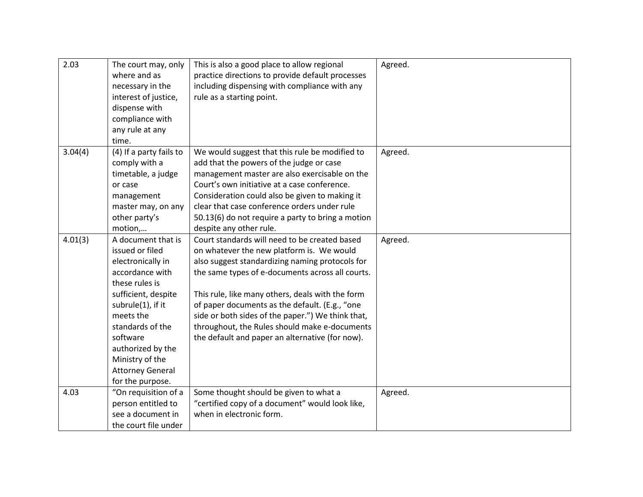| 2.03    | The court may, only<br>where and as<br>necessary in the<br>interest of justice,<br>dispense with<br>compliance with<br>any rule at any<br>time.                                                                                                                                 | This is also a good place to allow regional<br>practice directions to provide default processes<br>including dispensing with compliance with any<br>rule as a starting point.                                                                                                                                                                                                                                                                                    | Agreed. |
|---------|---------------------------------------------------------------------------------------------------------------------------------------------------------------------------------------------------------------------------------------------------------------------------------|------------------------------------------------------------------------------------------------------------------------------------------------------------------------------------------------------------------------------------------------------------------------------------------------------------------------------------------------------------------------------------------------------------------------------------------------------------------|---------|
| 3.04(4) | (4) If a party fails to<br>comply with a<br>timetable, a judge<br>or case<br>management<br>master may, on any<br>other party's<br>motion,                                                                                                                                       | We would suggest that this rule be modified to<br>add that the powers of the judge or case<br>management master are also exercisable on the<br>Court's own initiative at a case conference.<br>Consideration could also be given to making it<br>clear that case conference orders under rule<br>50.13(6) do not require a party to bring a motion<br>despite any other rule.                                                                                    | Agreed. |
| 4.01(3) | A document that is<br>issued or filed<br>electronically in<br>accordance with<br>these rules is<br>sufficient, despite<br>subrule(1), if it<br>meets the<br>standards of the<br>software<br>authorized by the<br>Ministry of the<br><b>Attorney General</b><br>for the purpose. | Court standards will need to be created based<br>on whatever the new platform is. We would<br>also suggest standardizing naming protocols for<br>the same types of e-documents across all courts.<br>This rule, like many others, deals with the form<br>of paper documents as the default. (E.g., "one<br>side or both sides of the paper.") We think that,<br>throughout, the Rules should make e-documents<br>the default and paper an alternative (for now). | Agreed. |
| 4.03    | "On requisition of a<br>person entitled to<br>see a document in<br>the court file under                                                                                                                                                                                         | Some thought should be given to what a<br>"certified copy of a document" would look like,<br>when in electronic form.                                                                                                                                                                                                                                                                                                                                            | Agreed. |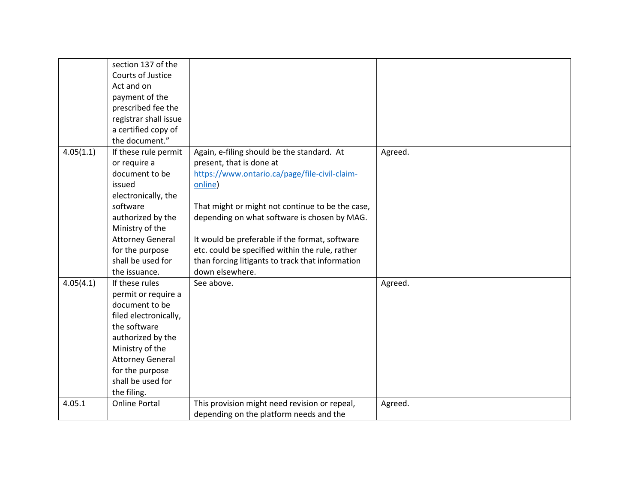|           | section 137 of the      |                                                  |         |
|-----------|-------------------------|--------------------------------------------------|---------|
|           | Courts of Justice       |                                                  |         |
|           | Act and on              |                                                  |         |
|           | payment of the          |                                                  |         |
|           | prescribed fee the      |                                                  |         |
|           | registrar shall issue   |                                                  |         |
|           | a certified copy of     |                                                  |         |
|           | the document."          |                                                  |         |
| 4.05(1.1) | If these rule permit    | Again, e-filing should be the standard. At       | Agreed. |
|           | or require a            | present, that is done at                         |         |
|           | document to be          | https://www.ontario.ca/page/file-civil-claim-    |         |
|           | issued                  | online)                                          |         |
|           | electronically, the     |                                                  |         |
|           | software                | That might or might not continue to be the case, |         |
|           | authorized by the       | depending on what software is chosen by MAG.     |         |
|           | Ministry of the         |                                                  |         |
|           | <b>Attorney General</b> | It would be preferable if the format, software   |         |
|           | for the purpose         | etc. could be specified within the rule, rather  |         |
|           | shall be used for       | than forcing litigants to track that information |         |
|           | the issuance.           | down elsewhere.                                  |         |
| 4.05(4.1) | If these rules          | See above.                                       | Agreed. |
|           | permit or require a     |                                                  |         |
|           | document to be          |                                                  |         |
|           | filed electronically,   |                                                  |         |
|           | the software            |                                                  |         |
|           | authorized by the       |                                                  |         |
|           | Ministry of the         |                                                  |         |
|           | <b>Attorney General</b> |                                                  |         |
|           | for the purpose         |                                                  |         |
|           | shall be used for       |                                                  |         |
|           | the filing.             |                                                  |         |
| 4.05.1    | <b>Online Portal</b>    | This provision might need revision or repeal,    | Agreed. |
|           |                         | depending on the platform needs and the          |         |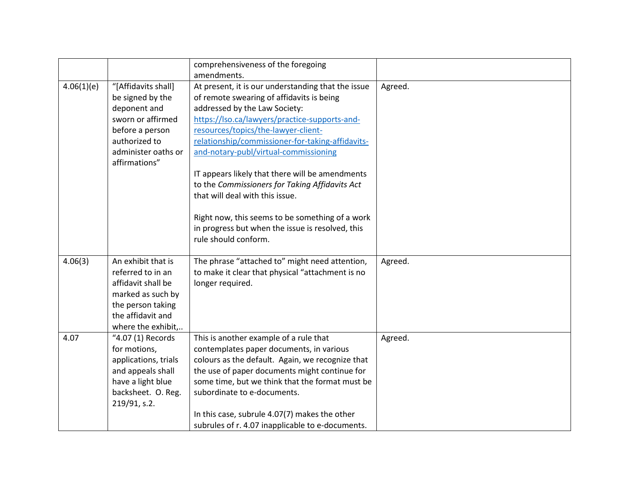|            |                                                                                                                                                          | comprehensiveness of the foregoing<br>amendments.                                                                                                                                                                                                                                                                                                                                                                                                                                                                                                                                            |         |
|------------|----------------------------------------------------------------------------------------------------------------------------------------------------------|----------------------------------------------------------------------------------------------------------------------------------------------------------------------------------------------------------------------------------------------------------------------------------------------------------------------------------------------------------------------------------------------------------------------------------------------------------------------------------------------------------------------------------------------------------------------------------------------|---------|
| 4.06(1)(e) | "[Affidavits shall]<br>be signed by the<br>deponent and<br>sworn or affirmed<br>before a person<br>authorized to<br>administer oaths or<br>affirmations" | At present, it is our understanding that the issue<br>of remote swearing of affidavits is being<br>addressed by the Law Society:<br>https://lso.ca/lawyers/practice-supports-and-<br>resources/topics/the-lawyer-client-<br>relationship/commissioner-for-taking-affidavits-<br>and-notary-publ/virtual-commissioning<br>IT appears likely that there will be amendments<br>to the Commissioners for Taking Affidavits Act<br>that will deal with this issue.<br>Right now, this seems to be something of a work<br>in progress but when the issue is resolved, this<br>rule should conform. | Agreed. |
| 4.06(3)    | An exhibit that is<br>referred to in an<br>affidavit shall be<br>marked as such by<br>the person taking<br>the affidavit and<br>where the exhibit,       | The phrase "attached to" might need attention,<br>to make it clear that physical "attachment is no<br>longer required.                                                                                                                                                                                                                                                                                                                                                                                                                                                                       | Agreed. |
| 4.07       | "4.07 (1) Records<br>for motions,<br>applications, trials<br>and appeals shall<br>have a light blue<br>backsheet. O. Reg.<br>219/91, s.2.                | This is another example of a rule that<br>contemplates paper documents, in various<br>colours as the default. Again, we recognize that<br>the use of paper documents might continue for<br>some time, but we think that the format must be<br>subordinate to e-documents.<br>In this case, subrule 4.07(7) makes the other<br>subrules of r. 4.07 inapplicable to e-documents.                                                                                                                                                                                                               | Agreed. |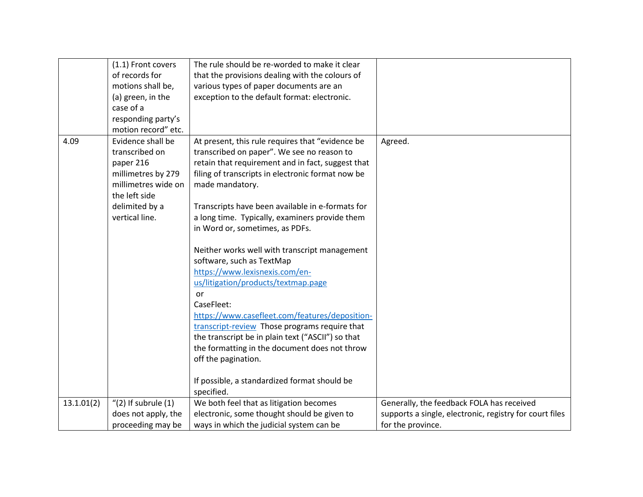|            | (1.1) Front covers       | The rule should be re-worded to make it clear     |                                                         |
|------------|--------------------------|---------------------------------------------------|---------------------------------------------------------|
|            | of records for           | that the provisions dealing with the colours of   |                                                         |
|            | motions shall be,        | various types of paper documents are an           |                                                         |
|            | (a) green, in the        | exception to the default format: electronic.      |                                                         |
|            | case of a                |                                                   |                                                         |
|            | responding party's       |                                                   |                                                         |
|            | motion record" etc.      |                                                   |                                                         |
| 4.09       | Evidence shall be        | At present, this rule requires that "evidence be  | Agreed.                                                 |
|            | transcribed on           | transcribed on paper". We see no reason to        |                                                         |
|            | paper 216                | retain that requirement and in fact, suggest that |                                                         |
|            | millimetres by 279       | filing of transcripts in electronic format now be |                                                         |
|            | millimetres wide on      | made mandatory.                                   |                                                         |
|            | the left side            |                                                   |                                                         |
|            | delimited by a           | Transcripts have been available in e-formats for  |                                                         |
|            | vertical line.           | a long time. Typically, examiners provide them    |                                                         |
|            |                          | in Word or, sometimes, as PDFs.                   |                                                         |
|            |                          |                                                   |                                                         |
|            |                          | Neither works well with transcript management     |                                                         |
|            |                          | software, such as TextMap                         |                                                         |
|            |                          | https://www.lexisnexis.com/en-                    |                                                         |
|            |                          | us/litigation/products/textmap.page               |                                                         |
|            |                          | or                                                |                                                         |
|            |                          | CaseFleet:                                        |                                                         |
|            |                          | https://www.casefleet.com/features/deposition-    |                                                         |
|            |                          | transcript-review Those programs require that     |                                                         |
|            |                          | the transcript be in plain text ("ASCII") so that |                                                         |
|            |                          | the formatting in the document does not throw     |                                                         |
|            |                          | off the pagination.                               |                                                         |
|            |                          |                                                   |                                                         |
|            |                          | If possible, a standardized format should be      |                                                         |
|            |                          | specified.                                        |                                                         |
| 13.1.01(2) | $''(2)$ If subrule $(1)$ | We both feel that as litigation becomes           | Generally, the feedback FOLA has received               |
|            | does not apply, the      | electronic, some thought should be given to       | supports a single, electronic, registry for court files |
|            | proceeding may be        | ways in which the judicial system can be          | for the province.                                       |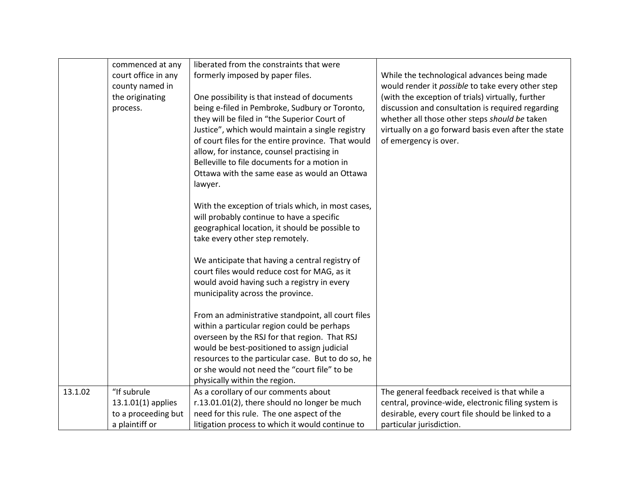|         | commenced at any    | liberated from the constraints that were           |                                                      |
|---------|---------------------|----------------------------------------------------|------------------------------------------------------|
|         | court office in any | formerly imposed by paper files.                   | While the technological advances being made          |
|         | county named in     |                                                    | would render it possible to take every other step    |
|         | the originating     | One possibility is that instead of documents       | (with the exception of trials) virtually, further    |
|         | process.            | being e-filed in Pembroke, Sudbury or Toronto,     | discussion and consultation is required regarding    |
|         |                     | they will be filed in "the Superior Court of       | whether all those other steps should be taken        |
|         |                     | Justice", which would maintain a single registry   | virtually on a go forward basis even after the state |
|         |                     | of court files for the entire province. That would | of emergency is over.                                |
|         |                     | allow, for instance, counsel practising in         |                                                      |
|         |                     | Belleville to file documents for a motion in       |                                                      |
|         |                     | Ottawa with the same ease as would an Ottawa       |                                                      |
|         |                     | lawyer.                                            |                                                      |
|         |                     | With the exception of trials which, in most cases, |                                                      |
|         |                     | will probably continue to have a specific          |                                                      |
|         |                     | geographical location, it should be possible to    |                                                      |
|         |                     | take every other step remotely.                    |                                                      |
|         |                     |                                                    |                                                      |
|         |                     | We anticipate that having a central registry of    |                                                      |
|         |                     | court files would reduce cost for MAG, as it       |                                                      |
|         |                     | would avoid having such a registry in every        |                                                      |
|         |                     | municipality across the province.                  |                                                      |
|         |                     |                                                    |                                                      |
|         |                     | From an administrative standpoint, all court files |                                                      |
|         |                     | within a particular region could be perhaps        |                                                      |
|         |                     | overseen by the RSJ for that region. That RSJ      |                                                      |
|         |                     | would be best-positioned to assign judicial        |                                                      |
|         |                     | resources to the particular case. But to do so, he |                                                      |
|         |                     | or she would not need the "court file" to be       |                                                      |
|         |                     | physically within the region.                      |                                                      |
| 13.1.02 | "If subrule         | As a corollary of our comments about               | The general feedback received is that while a        |
|         | 13.1.01(1) applies  | r.13.01.01(2), there should no longer be much      | central, province-wide, electronic filing system is  |
|         | to a proceeding but | need for this rule. The one aspect of the          | desirable, every court file should be linked to a    |
|         | a plaintiff or      | litigation process to which it would continue to   | particular jurisdiction.                             |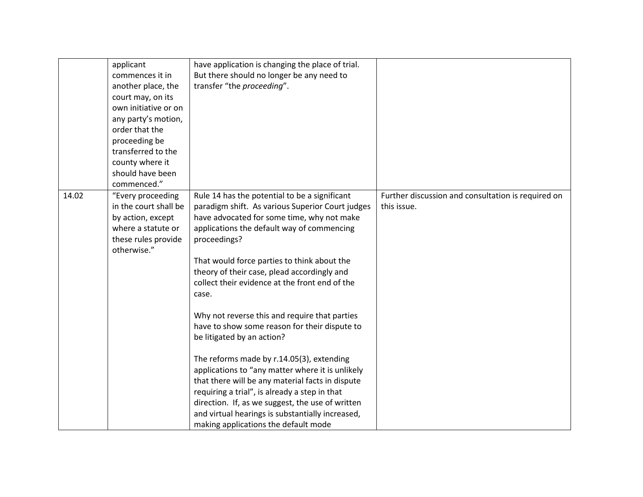|       | applicant<br>commences it in<br>another place, the<br>court may, on its<br>own initiative or on<br>any party's motion,<br>order that the<br>proceeding be | have application is changing the place of trial.<br>But there should no longer be any need to<br>transfer "the proceeding".                                                                                                                                                                                                                                                                                                                                                                            |                                                                   |
|-------|-----------------------------------------------------------------------------------------------------------------------------------------------------------|--------------------------------------------------------------------------------------------------------------------------------------------------------------------------------------------------------------------------------------------------------------------------------------------------------------------------------------------------------------------------------------------------------------------------------------------------------------------------------------------------------|-------------------------------------------------------------------|
|       | transferred to the<br>county where it<br>should have been<br>commenced."                                                                                  |                                                                                                                                                                                                                                                                                                                                                                                                                                                                                                        |                                                                   |
| 14.02 | "Every proceeding<br>in the court shall be<br>by action, except<br>where a statute or<br>these rules provide<br>otherwise."                               | Rule 14 has the potential to be a significant<br>paradigm shift. As various Superior Court judges<br>have advocated for some time, why not make<br>applications the default way of commencing<br>proceedings?<br>That would force parties to think about the<br>theory of their case, plead accordingly and<br>collect their evidence at the front end of the<br>case.<br>Why not reverse this and require that parties<br>have to show some reason for their dispute to<br>be litigated by an action? | Further discussion and consultation is required on<br>this issue. |
|       |                                                                                                                                                           | The reforms made by r.14.05(3), extending<br>applications to "any matter where it is unlikely<br>that there will be any material facts in dispute<br>requiring a trial", is already a step in that<br>direction. If, as we suggest, the use of written<br>and virtual hearings is substantially increased,<br>making applications the default mode                                                                                                                                                     |                                                                   |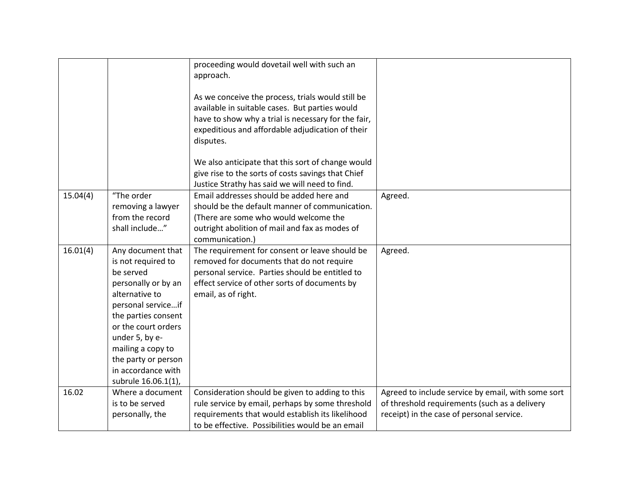|          |                                                                                                                                                                                                                                                                              | proceeding would dovetail well with such an<br>approach.<br>As we conceive the process, trials would still be<br>available in suitable cases. But parties would<br>have to show why a trial is necessary for the fair,<br>expeditious and affordable adjudication of their |                                                                                                                                                  |
|----------|------------------------------------------------------------------------------------------------------------------------------------------------------------------------------------------------------------------------------------------------------------------------------|----------------------------------------------------------------------------------------------------------------------------------------------------------------------------------------------------------------------------------------------------------------------------|--------------------------------------------------------------------------------------------------------------------------------------------------|
|          |                                                                                                                                                                                                                                                                              | disputes.<br>We also anticipate that this sort of change would<br>give rise to the sorts of costs savings that Chief                                                                                                                                                       |                                                                                                                                                  |
|          |                                                                                                                                                                                                                                                                              | Justice Strathy has said we will need to find.                                                                                                                                                                                                                             |                                                                                                                                                  |
| 15.04(4) | "The order<br>removing a lawyer<br>from the record<br>shall include"                                                                                                                                                                                                         | Email addresses should be added here and<br>should be the default manner of communication.<br>(There are some who would welcome the<br>outright abolition of mail and fax as modes of<br>communication.)                                                                   | Agreed.                                                                                                                                          |
| 16.01(4) | Any document that<br>is not required to<br>be served<br>personally or by an<br>alternative to<br>personal serviceif<br>the parties consent<br>or the court orders<br>under 5, by e-<br>mailing a copy to<br>the party or person<br>in accordance with<br>subrule 16.06.1(1), | The requirement for consent or leave should be<br>removed for documents that do not require<br>personal service. Parties should be entitled to<br>effect service of other sorts of documents by<br>email, as of right.                                                     | Agreed.                                                                                                                                          |
| 16.02    | Where a document<br>is to be served<br>personally, the                                                                                                                                                                                                                       | Consideration should be given to adding to this<br>rule service by email, perhaps by some threshold<br>requirements that would establish its likelihood<br>to be effective. Possibilities would be an email                                                                | Agreed to include service by email, with some sort<br>of threshold requirements (such as a delivery<br>receipt) in the case of personal service. |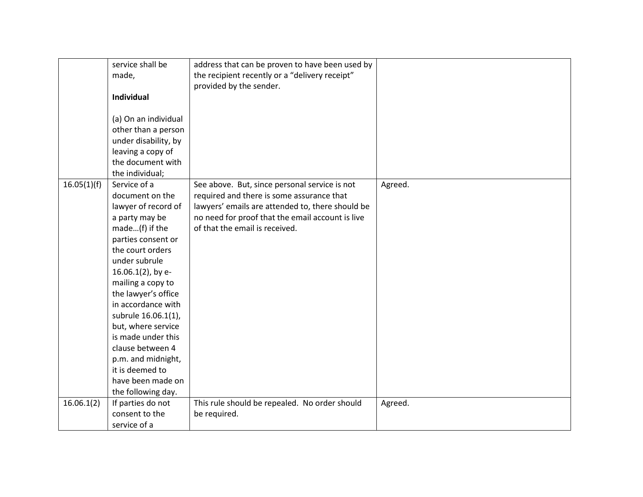|             | service shall be     | address that can be proven to have been used by  |         |
|-------------|----------------------|--------------------------------------------------|---------|
|             | made,                | the recipient recently or a "delivery receipt"   |         |
|             |                      | provided by the sender.                          |         |
|             | Individual           |                                                  |         |
|             |                      |                                                  |         |
|             | (a) On an individual |                                                  |         |
|             | other than a person  |                                                  |         |
|             | under disability, by |                                                  |         |
|             | leaving a copy of    |                                                  |         |
|             | the document with    |                                                  |         |
|             | the individual;      |                                                  |         |
| 16.05(1)(f) | Service of a         | See above. But, since personal service is not    | Agreed. |
|             | document on the      | required and there is some assurance that        |         |
|             | lawyer of record of  | lawyers' emails are attended to, there should be |         |
|             | a party may be       | no need for proof that the email account is live |         |
|             | made(f) if the       | of that the email is received.                   |         |
|             | parties consent or   |                                                  |         |
|             | the court orders     |                                                  |         |
|             | under subrule        |                                                  |         |
|             | 16.06.1(2), by e-    |                                                  |         |
|             | mailing a copy to    |                                                  |         |
|             | the lawyer's office  |                                                  |         |
|             | in accordance with   |                                                  |         |
|             | subrule 16.06.1(1),  |                                                  |         |
|             | but, where service   |                                                  |         |
|             | is made under this   |                                                  |         |
|             | clause between 4     |                                                  |         |
|             | p.m. and midnight,   |                                                  |         |
|             | it is deemed to      |                                                  |         |
|             | have been made on    |                                                  |         |
|             | the following day.   |                                                  |         |
| 16.06.1(2)  | If parties do not    | This rule should be repealed. No order should    | Agreed. |
|             | consent to the       | be required.                                     |         |
|             | service of a         |                                                  |         |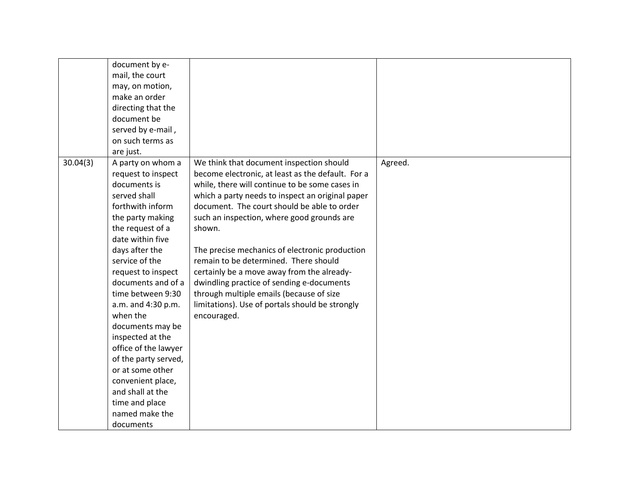|          | document by e-<br>mail, the court<br>may, on motion,<br>make an order<br>directing that the<br>document be<br>served by e-mail,<br>on such terms as<br>are just.                                                                                                                                                                                                                                                                                                                                     |                                                                                                                                                                                                                                                                                                                                                                                                                                                                                                                                                                                                                |         |
|----------|------------------------------------------------------------------------------------------------------------------------------------------------------------------------------------------------------------------------------------------------------------------------------------------------------------------------------------------------------------------------------------------------------------------------------------------------------------------------------------------------------|----------------------------------------------------------------------------------------------------------------------------------------------------------------------------------------------------------------------------------------------------------------------------------------------------------------------------------------------------------------------------------------------------------------------------------------------------------------------------------------------------------------------------------------------------------------------------------------------------------------|---------|
| 30.04(3) | A party on whom a<br>request to inspect<br>documents is<br>served shall<br>forthwith inform<br>the party making<br>the request of a<br>date within five<br>days after the<br>service of the<br>request to inspect<br>documents and of a<br>time between 9:30<br>a.m. and 4:30 p.m.<br>when the<br>documents may be<br>inspected at the<br>office of the lawyer<br>of the party served,<br>or at some other<br>convenient place,<br>and shall at the<br>time and place<br>named make the<br>documents | We think that document inspection should<br>become electronic, at least as the default. For a<br>while, there will continue to be some cases in<br>which a party needs to inspect an original paper<br>document. The court should be able to order<br>such an inspection, where good grounds are<br>shown.<br>The precise mechanics of electronic production<br>remain to be determined. There should<br>certainly be a move away from the already-<br>dwindling practice of sending e-documents<br>through multiple emails (because of size<br>limitations). Use of portals should be strongly<br>encouraged. | Agreed. |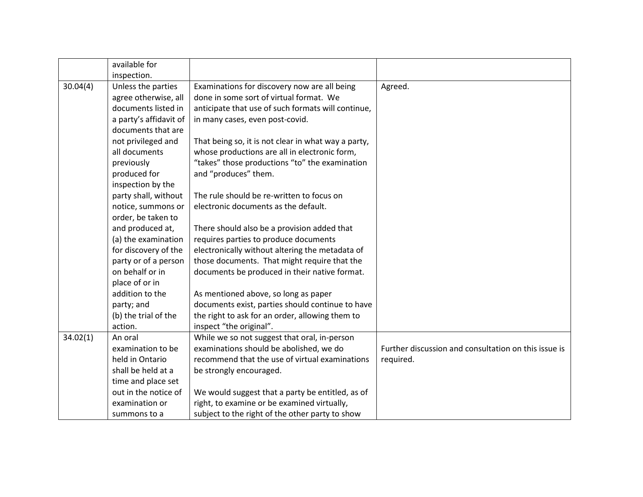|          | available for          |                                                     |                                                      |
|----------|------------------------|-----------------------------------------------------|------------------------------------------------------|
|          | inspection.            |                                                     |                                                      |
| 30.04(4) | Unless the parties     | Examinations for discovery now are all being        | Agreed.                                              |
|          | agree otherwise, all   | done in some sort of virtual format. We             |                                                      |
|          | documents listed in    | anticipate that use of such formats will continue,  |                                                      |
|          | a party's affidavit of | in many cases, even post-covid.                     |                                                      |
|          | documents that are     |                                                     |                                                      |
|          | not privileged and     | That being so, it is not clear in what way a party, |                                                      |
|          | all documents          | whose productions are all in electronic form,       |                                                      |
|          | previously             | "takes" those productions "to" the examination      |                                                      |
|          | produced for           | and "produces" them.                                |                                                      |
|          | inspection by the      |                                                     |                                                      |
|          | party shall, without   | The rule should be re-written to focus on           |                                                      |
|          | notice, summons or     | electronic documents as the default.                |                                                      |
|          | order, be taken to     |                                                     |                                                      |
|          | and produced at,       | There should also be a provision added that         |                                                      |
|          | (a) the examination    | requires parties to produce documents               |                                                      |
|          | for discovery of the   | electronically without altering the metadata of     |                                                      |
|          | party or of a person   | those documents. That might require that the        |                                                      |
|          | on behalf or in        | documents be produced in their native format.       |                                                      |
|          | place of or in         |                                                     |                                                      |
|          | addition to the        | As mentioned above, so long as paper                |                                                      |
|          | party; and             | documents exist, parties should continue to have    |                                                      |
|          | (b) the trial of the   | the right to ask for an order, allowing them to     |                                                      |
|          | action.                | inspect "the original".                             |                                                      |
| 34.02(1) | An oral                | While we so not suggest that oral, in-person        |                                                      |
|          | examination to be      | examinations should be abolished, we do             | Further discussion and consultation on this issue is |
|          | held in Ontario        | recommend that the use of virtual examinations      | required.                                            |
|          | shall be held at a     | be strongly encouraged.                             |                                                      |
|          | time and place set     |                                                     |                                                      |
|          | out in the notice of   | We would suggest that a party be entitled, as of    |                                                      |
|          | examination or         | right, to examine or be examined virtually,         |                                                      |
|          | summons to a           | subject to the right of the other party to show     |                                                      |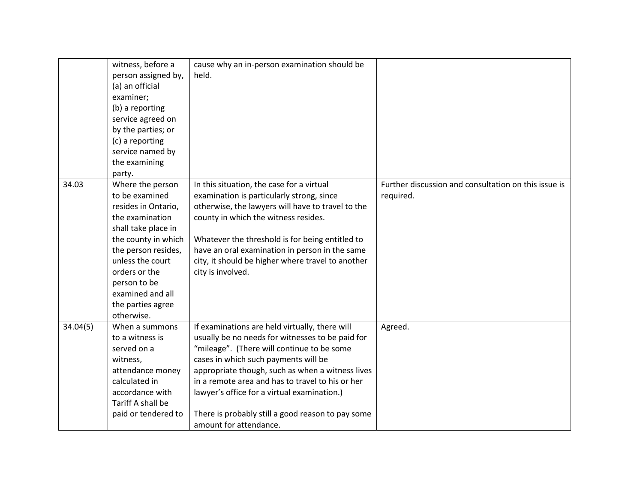|          | witness, before a<br>person assigned by,<br>(a) an official<br>examiner;<br>(b) a reporting<br>service agreed on<br>by the parties; or<br>(c) a reporting<br>service named by<br>the examining<br>party.                                                      | cause why an in-person examination should be<br>held.                                                                                                                                                                                                                                                                                                                                                                          |                                                                   |
|----------|---------------------------------------------------------------------------------------------------------------------------------------------------------------------------------------------------------------------------------------------------------------|--------------------------------------------------------------------------------------------------------------------------------------------------------------------------------------------------------------------------------------------------------------------------------------------------------------------------------------------------------------------------------------------------------------------------------|-------------------------------------------------------------------|
| 34.03    | Where the person<br>to be examined<br>resides in Ontario,<br>the examination<br>shall take place in<br>the county in which<br>the person resides,<br>unless the court<br>orders or the<br>person to be<br>examined and all<br>the parties agree<br>otherwise. | In this situation, the case for a virtual<br>examination is particularly strong, since<br>otherwise, the lawyers will have to travel to the<br>county in which the witness resides.<br>Whatever the threshold is for being entitled to<br>have an oral examination in person in the same<br>city, it should be higher where travel to another<br>city is involved.                                                             | Further discussion and consultation on this issue is<br>required. |
| 34.04(5) | When a summons<br>to a witness is<br>served on a<br>witness,<br>attendance money<br>calculated in<br>accordance with<br>Tariff A shall be<br>paid or tendered to                                                                                              | If examinations are held virtually, there will<br>usually be no needs for witnesses to be paid for<br>"mileage". (There will continue to be some<br>cases in which such payments will be<br>appropriate though, such as when a witness lives<br>in a remote area and has to travel to his or her<br>lawyer's office for a virtual examination.)<br>There is probably still a good reason to pay some<br>amount for attendance. | Agreed.                                                           |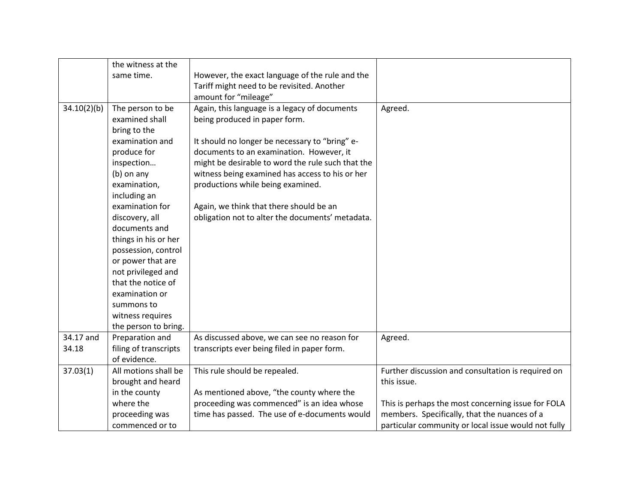|             | the witness at the    |                                                   |                                                     |
|-------------|-----------------------|---------------------------------------------------|-----------------------------------------------------|
|             | same time.            | However, the exact language of the rule and the   |                                                     |
|             |                       | Tariff might need to be revisited. Another        |                                                     |
|             |                       | amount for "mileage"                              |                                                     |
| 34.10(2)(b) | The person to be      | Again, this language is a legacy of documents     | Agreed.                                             |
|             | examined shall        | being produced in paper form.                     |                                                     |
|             | bring to the          |                                                   |                                                     |
|             | examination and       | It should no longer be necessary to "bring" e-    |                                                     |
|             | produce for           | documents to an examination. However, it          |                                                     |
|             | inspection            | might be desirable to word the rule such that the |                                                     |
|             | (b) on any            | witness being examined has access to his or her   |                                                     |
|             | examination,          | productions while being examined.                 |                                                     |
|             | including an          |                                                   |                                                     |
|             | examination for       | Again, we think that there should be an           |                                                     |
|             | discovery, all        | obligation not to alter the documents' metadata.  |                                                     |
|             | documents and         |                                                   |                                                     |
|             | things in his or her  |                                                   |                                                     |
|             | possession, control   |                                                   |                                                     |
|             | or power that are     |                                                   |                                                     |
|             | not privileged and    |                                                   |                                                     |
|             | that the notice of    |                                                   |                                                     |
|             | examination or        |                                                   |                                                     |
|             | summons to            |                                                   |                                                     |
|             | witness requires      |                                                   |                                                     |
|             | the person to bring.  |                                                   |                                                     |
| 34.17 and   | Preparation and       | As discussed above, we can see no reason for      | Agreed.                                             |
| 34.18       | filing of transcripts | transcripts ever being filed in paper form.       |                                                     |
|             | of evidence.          |                                                   |                                                     |
| 37.03(1)    | All motions shall be  | This rule should be repealed.                     | Further discussion and consultation is required on  |
|             | brought and heard     |                                                   | this issue.                                         |
|             | in the county         | As mentioned above, "the county where the         |                                                     |
|             | where the             | proceeding was commenced" is an idea whose        | This is perhaps the most concerning issue for FOLA  |
|             | proceeding was        | time has passed. The use of e-documents would     | members. Specifically, that the nuances of a        |
|             | commenced or to       |                                                   | particular community or local issue would not fully |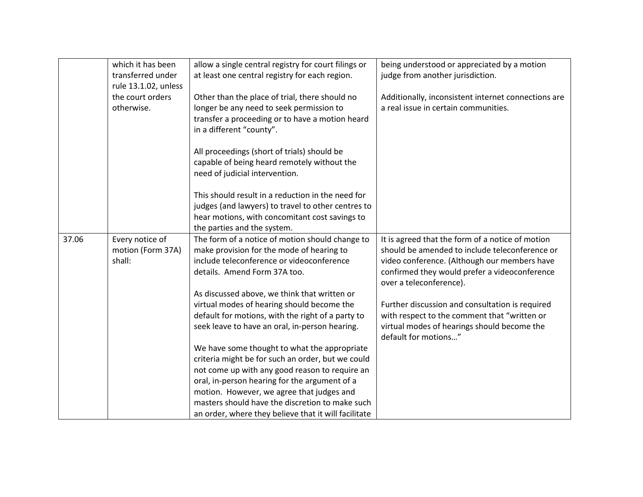| which it has been<br>allow a single central registry for court filings or<br>being understood or appreciated by a motion<br>transferred under<br>at least one central registry for each region.<br>judge from another jurisdiction.<br>rule 13.1.02, unless<br>the court orders<br>Other than the place of trial, there should no<br>Additionally, inconsistent internet connections are<br>otherwise.<br>longer be any need to seek permission to<br>a real issue in certain communities.<br>transfer a proceeding or to have a motion heard<br>in a different "county".<br>All proceedings (short of trials) should be<br>capable of being heard remotely without the<br>need of judicial intervention. |
|-----------------------------------------------------------------------------------------------------------------------------------------------------------------------------------------------------------------------------------------------------------------------------------------------------------------------------------------------------------------------------------------------------------------------------------------------------------------------------------------------------------------------------------------------------------------------------------------------------------------------------------------------------------------------------------------------------------|
|                                                                                                                                                                                                                                                                                                                                                                                                                                                                                                                                                                                                                                                                                                           |
|                                                                                                                                                                                                                                                                                                                                                                                                                                                                                                                                                                                                                                                                                                           |
|                                                                                                                                                                                                                                                                                                                                                                                                                                                                                                                                                                                                                                                                                                           |
|                                                                                                                                                                                                                                                                                                                                                                                                                                                                                                                                                                                                                                                                                                           |
|                                                                                                                                                                                                                                                                                                                                                                                                                                                                                                                                                                                                                                                                                                           |
|                                                                                                                                                                                                                                                                                                                                                                                                                                                                                                                                                                                                                                                                                                           |
|                                                                                                                                                                                                                                                                                                                                                                                                                                                                                                                                                                                                                                                                                                           |
|                                                                                                                                                                                                                                                                                                                                                                                                                                                                                                                                                                                                                                                                                                           |
|                                                                                                                                                                                                                                                                                                                                                                                                                                                                                                                                                                                                                                                                                                           |
|                                                                                                                                                                                                                                                                                                                                                                                                                                                                                                                                                                                                                                                                                                           |
|                                                                                                                                                                                                                                                                                                                                                                                                                                                                                                                                                                                                                                                                                                           |
|                                                                                                                                                                                                                                                                                                                                                                                                                                                                                                                                                                                                                                                                                                           |
| This should result in a reduction in the need for                                                                                                                                                                                                                                                                                                                                                                                                                                                                                                                                                                                                                                                         |
| judges (and lawyers) to travel to other centres to                                                                                                                                                                                                                                                                                                                                                                                                                                                                                                                                                                                                                                                        |
| hear motions, with concomitant cost savings to                                                                                                                                                                                                                                                                                                                                                                                                                                                                                                                                                                                                                                                            |
| the parties and the system.                                                                                                                                                                                                                                                                                                                                                                                                                                                                                                                                                                                                                                                                               |
| Every notice of<br>The form of a notice of motion should change to<br>37.06<br>It is agreed that the form of a notice of motion                                                                                                                                                                                                                                                                                                                                                                                                                                                                                                                                                                           |
| make provision for the mode of hearing to<br>should be amended to include teleconference or<br>motion (Form 37A)                                                                                                                                                                                                                                                                                                                                                                                                                                                                                                                                                                                          |
| include teleconference or videoconference<br>shall:<br>video conference. (Although our members have                                                                                                                                                                                                                                                                                                                                                                                                                                                                                                                                                                                                       |
| details. Amend Form 37A too.<br>confirmed they would prefer a videoconference                                                                                                                                                                                                                                                                                                                                                                                                                                                                                                                                                                                                                             |
| over a teleconference).                                                                                                                                                                                                                                                                                                                                                                                                                                                                                                                                                                                                                                                                                   |
| As discussed above, we think that written or                                                                                                                                                                                                                                                                                                                                                                                                                                                                                                                                                                                                                                                              |
| virtual modes of hearing should become the<br>Further discussion and consultation is required                                                                                                                                                                                                                                                                                                                                                                                                                                                                                                                                                                                                             |
| with respect to the comment that "written or<br>default for motions, with the right of a party to                                                                                                                                                                                                                                                                                                                                                                                                                                                                                                                                                                                                         |
| seek leave to have an oral, in-person hearing.<br>virtual modes of hearings should become the<br>default for motions"                                                                                                                                                                                                                                                                                                                                                                                                                                                                                                                                                                                     |
| We have some thought to what the appropriate                                                                                                                                                                                                                                                                                                                                                                                                                                                                                                                                                                                                                                                              |
| criteria might be for such an order, but we could                                                                                                                                                                                                                                                                                                                                                                                                                                                                                                                                                                                                                                                         |
| not come up with any good reason to require an                                                                                                                                                                                                                                                                                                                                                                                                                                                                                                                                                                                                                                                            |
| oral, in-person hearing for the argument of a                                                                                                                                                                                                                                                                                                                                                                                                                                                                                                                                                                                                                                                             |
| motion. However, we agree that judges and                                                                                                                                                                                                                                                                                                                                                                                                                                                                                                                                                                                                                                                                 |
| masters should have the discretion to make such                                                                                                                                                                                                                                                                                                                                                                                                                                                                                                                                                                                                                                                           |
| an order, where they believe that it will facilitate                                                                                                                                                                                                                                                                                                                                                                                                                                                                                                                                                                                                                                                      |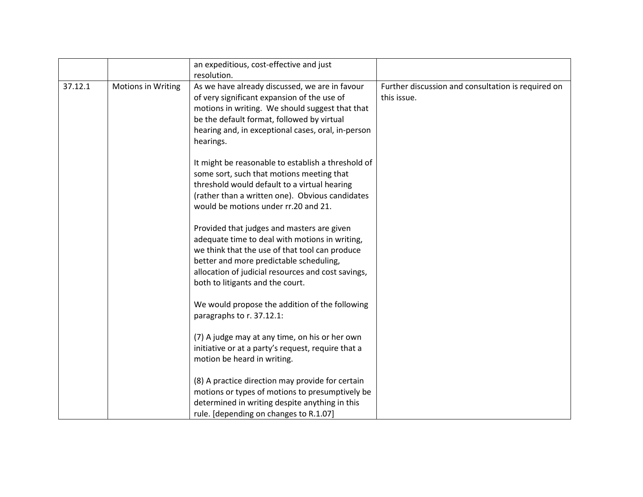|         |                           | an expeditious, cost-effective and just<br>resolution.                                                                                                                                                                                                                              |                                                                   |
|---------|---------------------------|-------------------------------------------------------------------------------------------------------------------------------------------------------------------------------------------------------------------------------------------------------------------------------------|-------------------------------------------------------------------|
| 37.12.1 | <b>Motions in Writing</b> | As we have already discussed, we are in favour<br>of very significant expansion of the use of<br>motions in writing. We should suggest that that<br>be the default format, followed by virtual<br>hearing and, in exceptional cases, oral, in-person<br>hearings.                   | Further discussion and consultation is required on<br>this issue. |
|         |                           | It might be reasonable to establish a threshold of<br>some sort, such that motions meeting that<br>threshold would default to a virtual hearing<br>(rather than a written one). Obvious candidates<br>would be motions under rr.20 and 21.                                          |                                                                   |
|         |                           | Provided that judges and masters are given<br>adequate time to deal with motions in writing,<br>we think that the use of that tool can produce<br>better and more predictable scheduling,<br>allocation of judicial resources and cost savings,<br>both to litigants and the court. |                                                                   |
|         |                           | We would propose the addition of the following<br>paragraphs to r. 37.12.1:                                                                                                                                                                                                         |                                                                   |
|         |                           | (7) A judge may at any time, on his or her own<br>initiative or at a party's request, require that a<br>motion be heard in writing.                                                                                                                                                 |                                                                   |
|         |                           | (8) A practice direction may provide for certain<br>motions or types of motions to presumptively be<br>determined in writing despite anything in this<br>rule. [depending on changes to R.1.07]                                                                                     |                                                                   |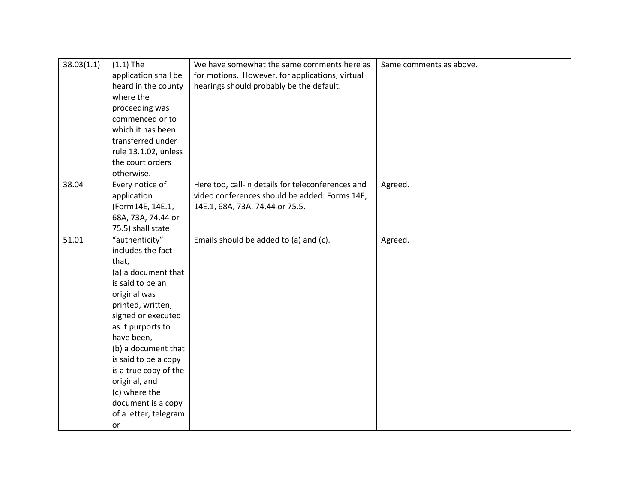| 38.03(1.1) | $(1.1)$ The<br>application shall be<br>heard in the county<br>where the<br>proceeding was<br>commenced or to<br>which it has been<br>transferred under                                                                                                                                                                                               | We have somewhat the same comments here as<br>for motions. However, for applications, virtual<br>hearings should probably be the default. | Same comments as above. |
|------------|------------------------------------------------------------------------------------------------------------------------------------------------------------------------------------------------------------------------------------------------------------------------------------------------------------------------------------------------------|-------------------------------------------------------------------------------------------------------------------------------------------|-------------------------|
|            | rule 13.1.02, unless<br>the court orders<br>otherwise.                                                                                                                                                                                                                                                                                               |                                                                                                                                           |                         |
| 38.04      | Every notice of<br>application<br>(Form14E, 14E.1,<br>68A, 73A, 74.44 or<br>75.5) shall state                                                                                                                                                                                                                                                        | Here too, call-in details for teleconferences and<br>video conferences should be added: Forms 14E,<br>14E.1, 68A, 73A, 74.44 or 75.5.     | Agreed.                 |
| 51.01      | "authenticity"<br>includes the fact<br>that,<br>(a) a document that<br>is said to be an<br>original was<br>printed, written,<br>signed or executed<br>as it purports to<br>have been,<br>(b) a document that<br>is said to be a copy<br>is a true copy of the<br>original, and<br>(c) where the<br>document is a copy<br>of a letter, telegram<br>or | Emails should be added to (a) and (c).                                                                                                    | Agreed.                 |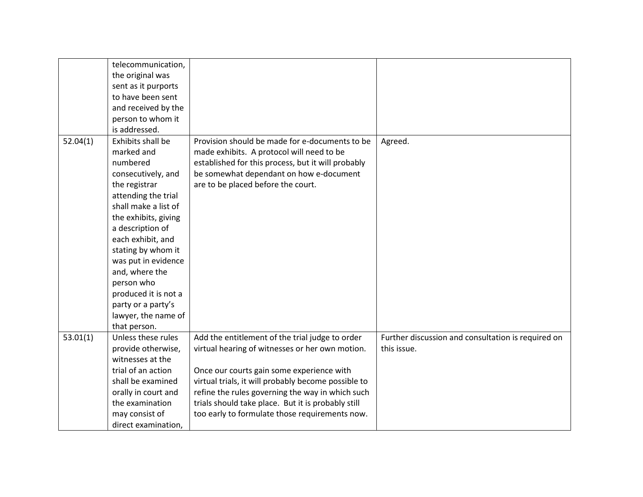|          | telecommunication,<br>the original was<br>sent as it purports<br>to have been sent<br>and received by the<br>person to whom it<br>is addressed.                                                                                                                                                                                                                      |                                                                                                                                                                                                                                                                                                                                                                    |                                                                   |
|----------|----------------------------------------------------------------------------------------------------------------------------------------------------------------------------------------------------------------------------------------------------------------------------------------------------------------------------------------------------------------------|--------------------------------------------------------------------------------------------------------------------------------------------------------------------------------------------------------------------------------------------------------------------------------------------------------------------------------------------------------------------|-------------------------------------------------------------------|
| 52.04(1) | Exhibits shall be<br>marked and<br>numbered<br>consecutively, and<br>the registrar<br>attending the trial<br>shall make a list of<br>the exhibits, giving<br>a description of<br>each exhibit, and<br>stating by whom it<br>was put in evidence<br>and, where the<br>person who<br>produced it is not a<br>party or a party's<br>lawyer, the name of<br>that person. | Provision should be made for e-documents to be<br>made exhibits. A protocol will need to be<br>established for this process, but it will probably<br>be somewhat dependant on how e-document<br>are to be placed before the court.                                                                                                                                 | Agreed.                                                           |
| 53.01(1) | Unless these rules<br>provide otherwise,<br>witnesses at the<br>trial of an action<br>shall be examined<br>orally in court and<br>the examination<br>may consist of<br>direct examination,                                                                                                                                                                           | Add the entitlement of the trial judge to order<br>virtual hearing of witnesses or her own motion.<br>Once our courts gain some experience with<br>virtual trials, it will probably become possible to<br>refine the rules governing the way in which such<br>trials should take place. But it is probably still<br>too early to formulate those requirements now. | Further discussion and consultation is required on<br>this issue. |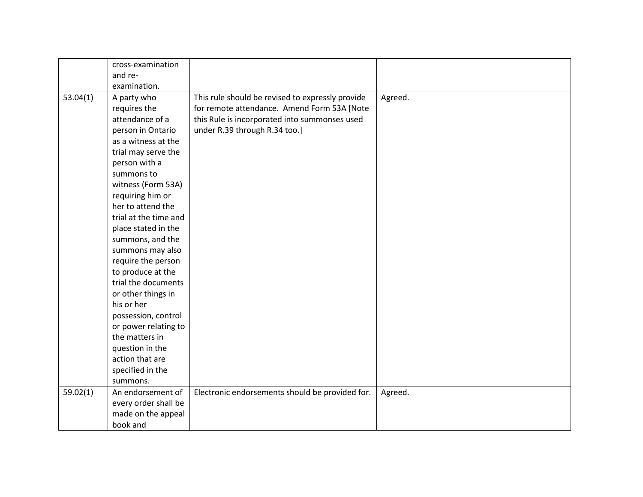|          | cross-examination     |                                                  |         |
|----------|-----------------------|--------------------------------------------------|---------|
|          | and re-               |                                                  |         |
|          | examination.          |                                                  |         |
| 53.04(1) | A party who           | This rule should be revised to expressly provide | Agreed. |
|          | requires the          | for remote attendance. Amend Form 53A [Note      |         |
|          | attendance of a       | this Rule is incorporated into summonses used    |         |
|          | person in Ontario     | under R.39 through R.34 too.]                    |         |
|          | as a witness at the   |                                                  |         |
|          | trial may serve the   |                                                  |         |
|          | person with a         |                                                  |         |
|          | summons to            |                                                  |         |
|          | witness (Form 53A)    |                                                  |         |
|          | requiring him or      |                                                  |         |
|          | her to attend the     |                                                  |         |
|          | trial at the time and |                                                  |         |
|          | place stated in the   |                                                  |         |
|          | summons, and the      |                                                  |         |
|          | summons may also      |                                                  |         |
|          | require the person    |                                                  |         |
|          | to produce at the     |                                                  |         |
|          | trial the documents   |                                                  |         |
|          | or other things in    |                                                  |         |
|          | his or her            |                                                  |         |
|          | possession, control   |                                                  |         |
|          | or power relating to  |                                                  |         |
|          | the matters in        |                                                  |         |
|          | question in the       |                                                  |         |
|          | action that are       |                                                  |         |
|          | specified in the      |                                                  |         |
|          | summons.              |                                                  |         |
| 59.02(1) | An endorsement of     | Electronic endorsements should be provided for.  | Agreed. |
|          | every order shall be  |                                                  |         |
|          | made on the appeal    |                                                  |         |
|          | book and              |                                                  |         |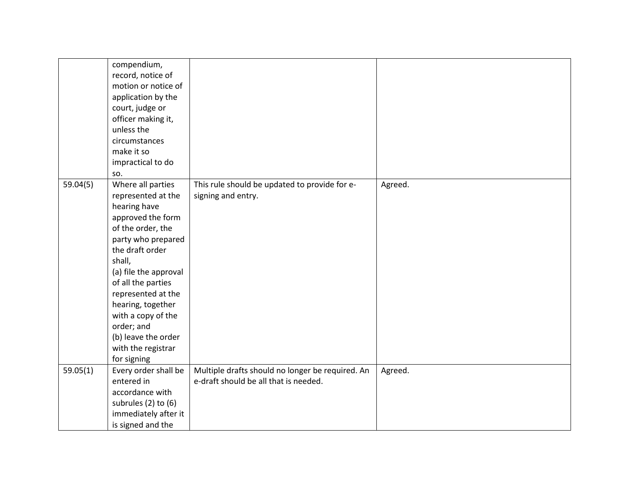|          | compendium,<br>record, notice of<br>motion or notice of<br>application by the<br>court, judge or<br>officer making it,<br>unless the<br>circumstances<br>make it so<br>impractical to do<br>SO.                                                                                                                                                |                                                                                           |         |
|----------|------------------------------------------------------------------------------------------------------------------------------------------------------------------------------------------------------------------------------------------------------------------------------------------------------------------------------------------------|-------------------------------------------------------------------------------------------|---------|
| 59.04(5) | Where all parties<br>represented at the<br>hearing have<br>approved the form<br>of the order, the<br>party who prepared<br>the draft order<br>shall,<br>(a) file the approval<br>of all the parties<br>represented at the<br>hearing, together<br>with a copy of the<br>order; and<br>(b) leave the order<br>with the registrar<br>for signing | This rule should be updated to provide for e-<br>signing and entry.                       | Agreed. |
| 59.05(1) | Every order shall be<br>entered in<br>accordance with<br>subrules (2) to (6)<br>immediately after it<br>is signed and the                                                                                                                                                                                                                      | Multiple drafts should no longer be required. An<br>e-draft should be all that is needed. | Agreed. |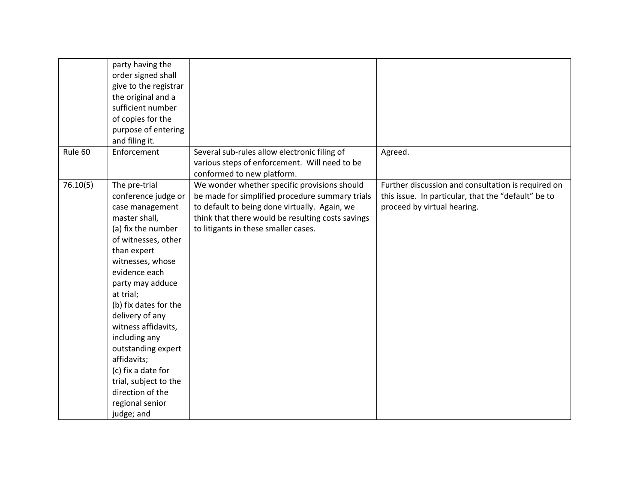|          | party having the<br>order signed shall<br>give to the registrar<br>the original and a<br>sufficient number<br>of copies for the<br>purpose of entering<br>and filing it.                                                                                                                                                                                                                                                                |                                                                                                                                                                                                                                               |                                                                                                                                          |
|----------|-----------------------------------------------------------------------------------------------------------------------------------------------------------------------------------------------------------------------------------------------------------------------------------------------------------------------------------------------------------------------------------------------------------------------------------------|-----------------------------------------------------------------------------------------------------------------------------------------------------------------------------------------------------------------------------------------------|------------------------------------------------------------------------------------------------------------------------------------------|
| Rule 60  | Enforcement                                                                                                                                                                                                                                                                                                                                                                                                                             | Several sub-rules allow electronic filing of<br>various steps of enforcement. Will need to be<br>conformed to new platform.                                                                                                                   | Agreed.                                                                                                                                  |
| 76.10(5) | The pre-trial<br>conference judge or<br>case management<br>master shall,<br>(a) fix the number<br>of witnesses, other<br>than expert<br>witnesses, whose<br>evidence each<br>party may adduce<br>at trial;<br>(b) fix dates for the<br>delivery of any<br>witness affidavits,<br>including any<br>outstanding expert<br>affidavits;<br>(c) fix a date for<br>trial, subject to the<br>direction of the<br>regional senior<br>judge; and | We wonder whether specific provisions should<br>be made for simplified procedure summary trials<br>to default to being done virtually. Again, we<br>think that there would be resulting costs savings<br>to litigants in these smaller cases. | Further discussion and consultation is required on<br>this issue. In particular, that the "default" be to<br>proceed by virtual hearing. |